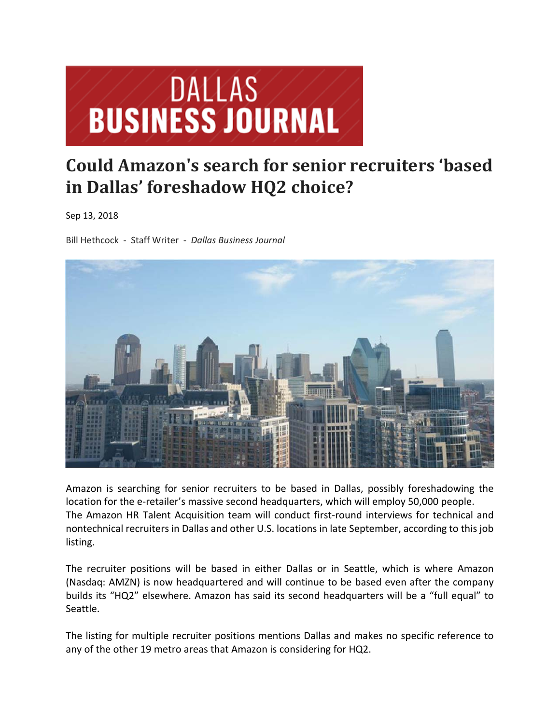

## **Could Amazon's search for senior recruiters 'based in Dallas' foreshadow HQ2 choice?**

Sep 13, 2018

Bill Hethcock ‐ Staff Writer ‐ *Dallas Business Journal*



Amazon is searching for senior recruiters to be based in Dallas, possibly foreshadowing the location for the e-retailer's massive second headquarters, which will employ 50,000 people. The Amazon HR Talent Acquisition team will conduct first-round interviews for technical and nontechnical recruiters in Dallas and other U.S. locations in late September, according to this job listing.

The recruiter positions will be based in either Dallas or in Seattle, which is where Amazon (Nasdaq: AMZN) is now headquartered and will continue to be based even after the company builds its "HQ2" elsewhere. Amazon has said its second headquarters will be a "full equal" to Seattle.

The listing for multiple recruiter positions mentions Dallas and makes no specific reference to any of the other 19 metro areas that Amazon is considering for HQ2.